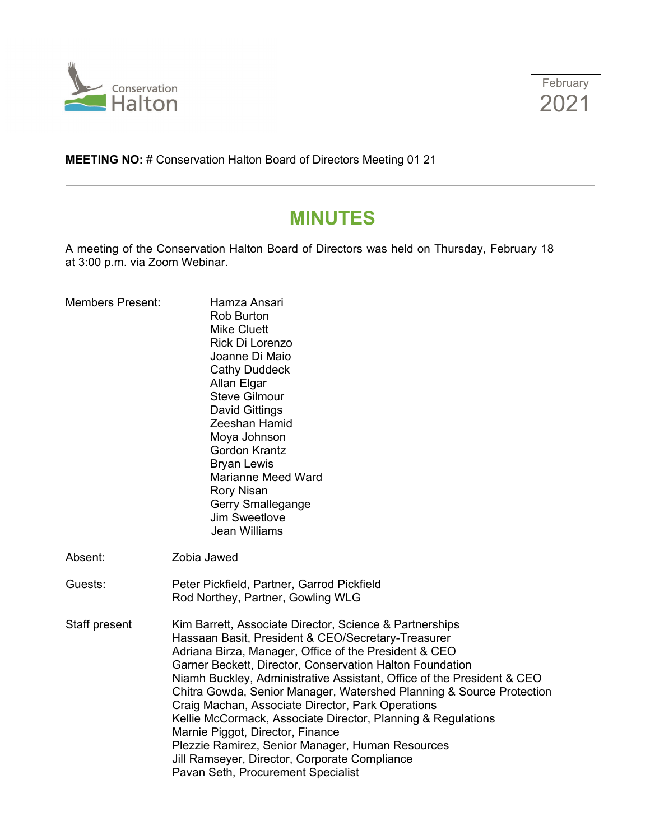



**MEETING NO:** # Conservation Halton Board of Directors Meeting 01 21

# **MINUTES**

A meeting of the Conservation Halton Board of Directors was held on Thursday, February 18 at 3:00 p.m. via Zoom Webinar.

| <b>Members Present:</b> | Hamza Ansari<br><b>Rob Burton</b><br><b>Mike Cluett</b><br>Rick Di Lorenzo<br>Joanne Di Maio<br><b>Cathy Duddeck</b><br>Allan Elgar<br><b>Steve Gilmour</b><br><b>David Gittings</b><br>Zeeshan Hamid<br>Moya Johnson<br>Gordon Krantz<br><b>Bryan Lewis</b><br><b>Marianne Meed Ward</b><br><b>Rory Nisan</b><br>Gerry Smallegange<br>Jim Sweetlove<br><b>Jean Williams</b>                                                                                                                                                                                                                                                                                                             |
|-------------------------|------------------------------------------------------------------------------------------------------------------------------------------------------------------------------------------------------------------------------------------------------------------------------------------------------------------------------------------------------------------------------------------------------------------------------------------------------------------------------------------------------------------------------------------------------------------------------------------------------------------------------------------------------------------------------------------|
| Absent:                 | Zobia Jawed                                                                                                                                                                                                                                                                                                                                                                                                                                                                                                                                                                                                                                                                              |
| Guests:                 | Peter Pickfield, Partner, Garrod Pickfield<br>Rod Northey, Partner, Gowling WLG                                                                                                                                                                                                                                                                                                                                                                                                                                                                                                                                                                                                          |
| Staff present           | Kim Barrett, Associate Director, Science & Partnerships<br>Hassaan Basit, President & CEO/Secretary-Treasurer<br>Adriana Birza, Manager, Office of the President & CEO<br>Garner Beckett, Director, Conservation Halton Foundation<br>Niamh Buckley, Administrative Assistant, Office of the President & CEO<br>Chitra Gowda, Senior Manager, Watershed Planning & Source Protection<br>Craig Machan, Associate Director, Park Operations<br>Kellie McCormack, Associate Director, Planning & Regulations<br>Marnie Piggot, Director, Finance<br>Plezzie Ramirez, Senior Manager, Human Resources<br>Jill Ramseyer, Director, Corporate Compliance<br>Pavan Seth, Procurement Specialist |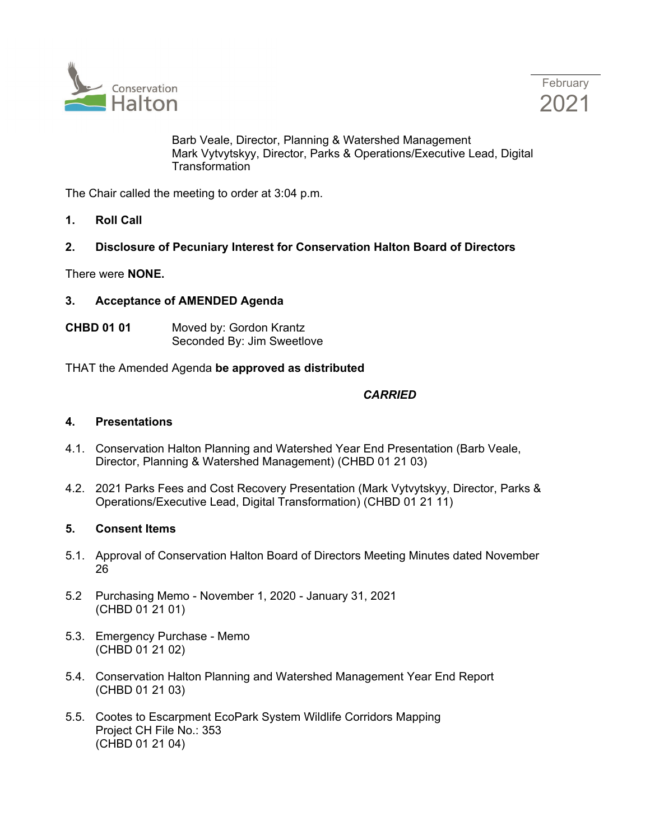

February 2021

Barb Veale, Director, Planning & Watershed Management Mark Vytvytskyy, Director, Parks & Operations/Executive Lead, Digital **Transformation** 

The Chair called the meeting to order at 3:04 p.m.

**1. Roll Call**

# **2. Disclosure of Pecuniary Interest for Conservation Halton Board of Directors**

There were **NONE.**

## **3. Acceptance of AMENDED Agenda**

**CHBD 01 01** Moved by: Gordon Krantz Seconded By: Jim Sweetlove

THAT the Amended Agenda **be approved as distributed**

## *CARRIED*

### **4. Presentations**

- 4.1. Conservation Halton Planning and Watershed Year End Presentation (Barb Veale, Director, Planning & Watershed Management) (CHBD 01 21 03)
- 4.2. 2021 Parks Fees and Cost Recovery Presentation (Mark Vytvytskyy, Director, Parks & Operations/Executive Lead, Digital Transformation) (CHBD 01 21 11)

#### **5. Consent Items**

- 5.1. Approval of Conservation Halton Board of Directors Meeting Minutes dated November 26
- 5.2 Purchasing Memo November 1, 2020 January 31, 2021 (CHBD 01 21 01)
- 5.3. Emergency Purchase Memo (CHBD 01 21 02)
- 5.4. Conservation Halton Planning and Watershed Management Year End Report (CHBD 01 21 03)
- 5.5. Cootes to Escarpment EcoPark System Wildlife Corridors Mapping Project CH File No.: 353 (CHBD 01 21 04)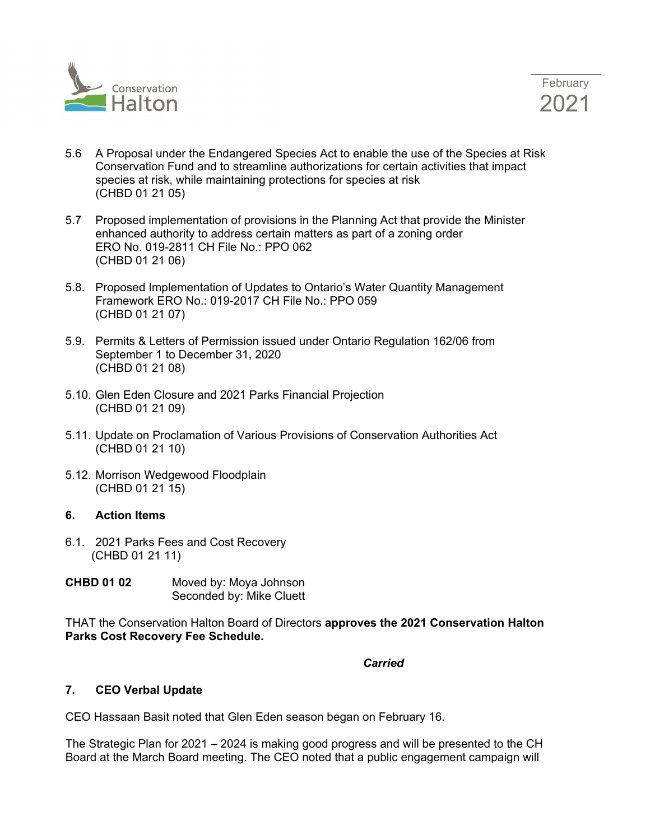

- 5.6 A Proposal under the Endangered Species Act to enable the use of the Species at Risk Conservation Fund and to streamline authorizations for certain activities that impact species at risk, while maintaining protections for species at risk (CHBD 01 21 05)
- 5.7 Proposed implementation of provisions in the Planning Act that provide the Minister enhanced authority to address certain matters as part of a zoning order ERO No. 019-2811 CH File No.: PPO 062 (CHBD 01 21 06)
- 5.8. Proposed Implementation of Updates to Ontario's Water Quantity Management Framework ERO No.: 019-2017 CH File No.: PPO 059 (CHBD 01 21 07)
- 5.9. Permits & Letters of Permission issued under Ontario Regulation 162/06 from September 1 to December 31, 2020 (CHBD 01 21 08)
- 5.10. Glen Eden Closure and 2021 Parks Financial Projection (CHBD 01 21 09)
- 5.11. Update on Proclamation of Various Provisions of Conservation Authorities Act (CHBD 01 21 10)
- 5.12. Morrison Wedgewood Floodplain (CHBD 01 21 15)

# **6. Action Items**

- 6.1. 2021 Parks Fees and Cost Recovery (CHBD 01 21 11)
- **CHBD 01 02** Moved by: Moya Johnson Seconded by: Mike Cluett

THAT the Conservation Halton Board of Directors **approves the 2021 Conservation Halton Parks Cost Recovery Fee Schedule.**

#### *Carried*

# **7. CEO Verbal Update**

CEO Hassaan Basit noted that Glen Eden season began on February 16.

The Strategic Plan for 2021 – 2024 is making good progress and will be presented to the CH Board at the March Board meeting. The CEO noted that a public engagement campaign will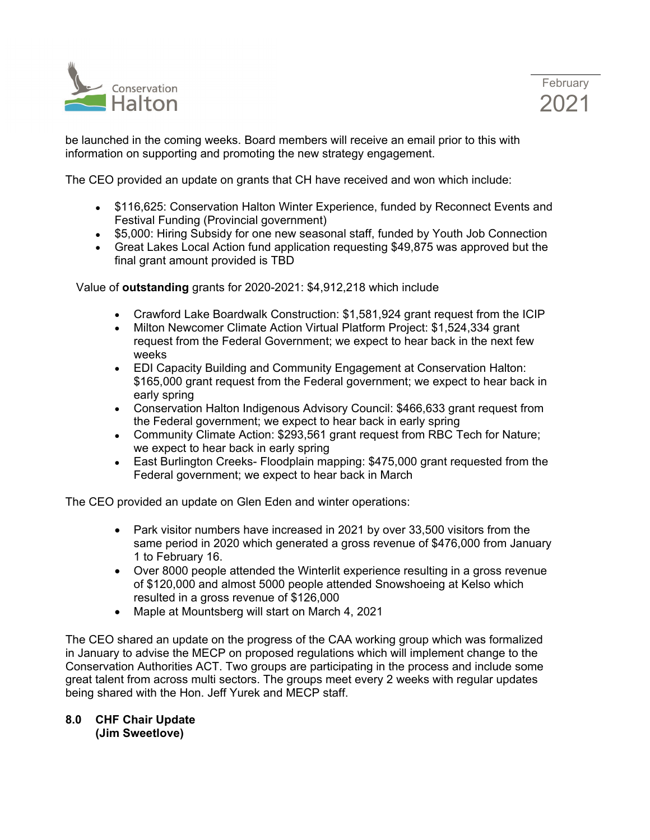



be launched in the coming weeks. Board members will receive an email prior to this with information on supporting and promoting the new strategy engagement.

The CEO provided an update on grants that CH have received and won which include:

- \$116,625: Conservation Halton Winter Experience, funded by Reconnect Events and Festival Funding (Provincial government)
- \$5,000: Hiring Subsidy for one new seasonal staff, funded by Youth Job Connection
- Great Lakes Local Action fund application requesting \$49,875 was approved but the final grant amount provided is TBD

Value of **outstanding** grants for 2020-2021: \$4,912,218 which include

- Crawford Lake Boardwalk Construction: \$1,581,924 grant request from the ICIP
- Milton Newcomer Climate Action Virtual Platform Project: \$1,524,334 grant request from the Federal Government; we expect to hear back in the next few weeks
- EDI Capacity Building and Community Engagement at Conservation Halton: \$165,000 grant request from the Federal government; we expect to hear back in early spring
- Conservation Halton Indigenous Advisory Council: \$466,633 grant request from the Federal government; we expect to hear back in early spring
- Community Climate Action: \$293,561 grant request from RBC Tech for Nature; we expect to hear back in early spring
- East Burlington Creeks- Floodplain mapping: \$475,000 grant requested from the Federal government; we expect to hear back in March

The CEO provided an update on Glen Eden and winter operations:

- Park visitor numbers have increased in 2021 by over 33,500 visitors from the same period in 2020 which generated a gross revenue of \$476,000 from January 1 to February 16.
- Over 8000 people attended the Winterlit experience resulting in a gross revenue of \$120,000 and almost 5000 people attended Snowshoeing at Kelso which resulted in a gross revenue of \$126,000
- Maple at Mountsberg will start on March 4, 2021

The CEO shared an update on the progress of the CAA working group which was formalized in January to advise the MECP on proposed regulations which will implement change to the Conservation Authorities ACT. Two groups are participating in the process and include some great talent from across multi sectors. The groups meet every 2 weeks with regular updates being shared with the Hon. Jeff Yurek and MECP staff.

#### **8.0 CHF Chair Update (Jim Sweetlove)**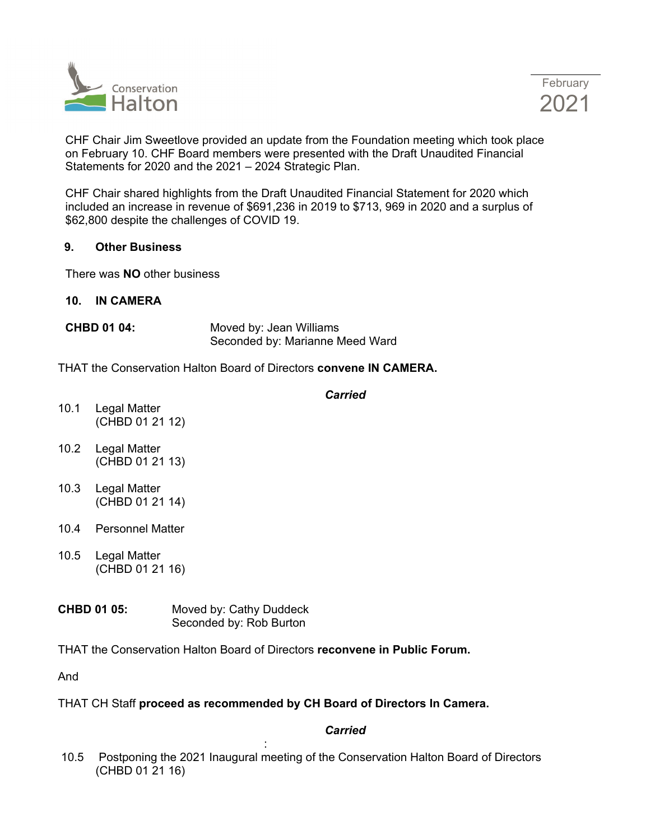



CHF Chair Jim Sweetlove provided an update from the Foundation meeting which took place on February 10. CHF Board members were presented with the Draft Unaudited Financial Statements for 2020 and the 2021 – 2024 Strategic Plan.

CHF Chair shared highlights from the Draft Unaudited Financial Statement for 2020 which included an increase in revenue of \$691,236 in 2019 to \$713, 969 in 2020 and a surplus of \$62,800 despite the challenges of COVID 19.

## **9. Other Business**

There was **NO** other business

## **10. IN CAMERA**

**CHBD 01 04:** Moved by: Jean Williams Seconded by: Marianne Meed Ward

THAT the Conservation Halton Board of Directors **convene IN CAMERA.**

# *Carried* 10.1 Legal Matter (CHBD 01 21 12) 10.2 Legal Matter (CHBD 01 21 13) 10.3 Legal Matter (CHBD 01 21 14) 10.4 Personnel Matter 10.5 Legal Matter (CHBD 01 21 16)

**CHBD 01 05:** Moved by: Cathy Duddeck Seconded by: Rob Burton

THAT the Conservation Halton Board of Directors **reconvene in Public Forum.**

And

# THAT CH Staff **proceed as recommended by CH Board of Directors In Camera.**

# *Carried*

: 10.5 Postponing the 2021 Inaugural meeting of the Conservation Halton Board of Directors (CHBD 01 21 16)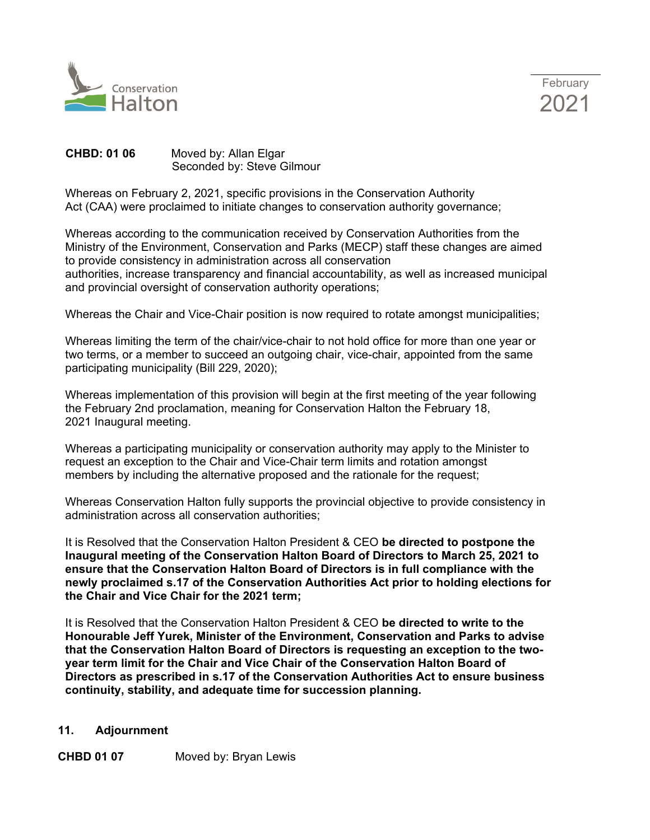



# **CHBD: 01 06** Moved by: Allan Elgar Seconded by: Steve Gilmour

Whereas on February 2, 2021, specific provisions in the Conservation Authority Act (CAA) were proclaimed to initiate changes to conservation authority governance;

Whereas according to the communication received by Conservation Authorities from the Ministry of the Environment, Conservation and Parks (MECP) staff these changes are aimed to provide consistency in administration across all conservation authorities, increase transparency and financial accountability, as well as increased municipal and provincial oversight of conservation authority operations;

Whereas the Chair and Vice-Chair position is now required to rotate amongst municipalities;

Whereas limiting the term of the chair/vice-chair to not hold office for more than one year or two terms, or a member to succeed an outgoing chair, vice-chair, appointed from the same participating municipality (Bill 229, 2020);

Whereas implementation of this provision will begin at the first meeting of the year following the February 2nd proclamation, meaning for Conservation Halton the February 18, 2021 Inaugural meeting.

Whereas a participating municipality or conservation authority may apply to the Minister to request an exception to the Chair and Vice-Chair term limits and rotation amongst members by including the alternative proposed and the rationale for the request;

Whereas Conservation Halton fully supports the provincial objective to provide consistency in administration across all conservation authorities;

It is Resolved that the Conservation Halton President & CEO **be directed to postpone the Inaugural meeting of the Conservation Halton Board of Directors to March 25, 2021 to ensure that the Conservation Halton Board of Directors is in full compliance with the newly proclaimed s.17 of the Conservation Authorities Act prior to holding elections for the Chair and Vice Chair for the 2021 term;**

It is Resolved that the Conservation Halton President & CEO **be directed to write to the Honourable Jeff Yurek, Minister of the Environment, Conservation and Parks to advise that the Conservation Halton Board of Directors is requesting an exception to the twoyear term limit for the Chair and Vice Chair of the Conservation Halton Board of Directors as prescribed in s.17 of the Conservation Authorities Act to ensure business continuity, stability, and adequate time for succession planning.**

# **11. Adjournment**

**CHBD 01 07** Moved by: Bryan Lewis